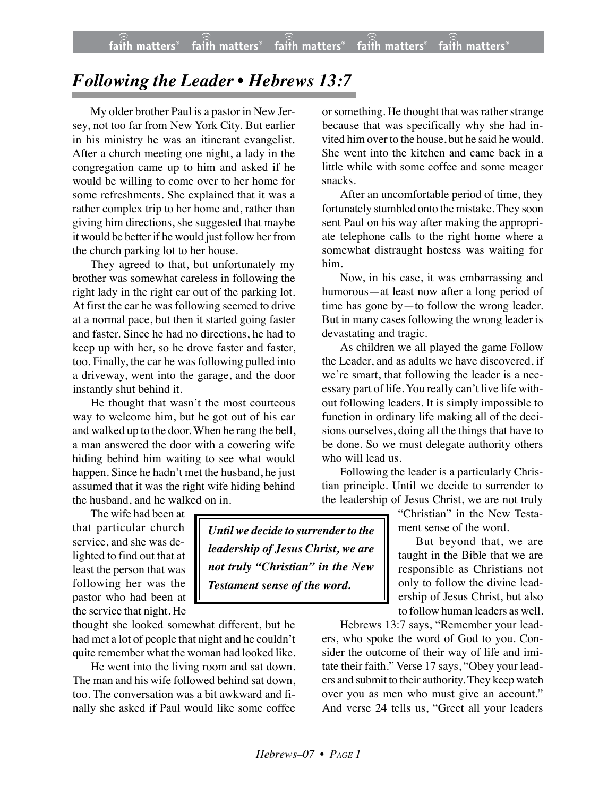## *Following the Leader • Hebrews 13:7*

My older brother Paul is a pastor in New Jersey, not too far from New York City. But earlier in his ministry he was an itinerant evangelist. After a church meeting one night, a lady in the congregation came up to him and asked if he would be willing to come over to her home for some refreshments. She explained that it was a rather complex trip to her home and, rather than giving him directions, she suggested that maybe it would be better if he would just follow her from the church parking lot to her house.

They agreed to that, but unfortunately my brother was somewhat careless in following the right lady in the right car out of the parking lot. At first the car he was following seemed to drive at a normal pace, but then it started going faster and faster. Since he had no directions, he had to keep up with her, so he drove faster and faster, too. Finally, the car he was following pulled into a driveway, went into the garage, and the door instantly shut behind it.

He thought that wasn't the most courteous way to welcome him, but he got out of his car and walked up to the door. When he rang the bell, a man answered the door with a cowering wife hiding behind him waiting to see what would happen. Since he hadn't met the husband, he just assumed that it was the right wife hiding behind the husband, and he walked on in.

The wife had been at that particular church service, and she was delighted to find out that at least the person that was following her was the pastor who had been at the service that night. He

thought she looked somewhat different, but he had met a lot of people that night and he couldn't quite remember what the woman had looked like.

He went into the living room and sat down. The man and his wife followed behind sat down, too. The conversation was a bit awkward and finally she asked if Paul would like some coffee

or something. He thought that was rather strange because that was specifically why she had invited him over to the house, but he said he would. She went into the kitchen and came back in a little while with some coffee and some meager snacks.

After an uncomfortable period of time, they fortunately stumbled onto the mistake. They soon sent Paul on his way after making the appropriate telephone calls to the right home where a somewhat distraught hostess was waiting for him.

Now, in his case, it was embarrassing and humorous—at least now after a long period of time has gone by—to follow the wrong leader. But in many cases following the wrong leader is devastating and tragic.

As children we all played the game Follow the Leader, and as adults we have discovered, if we're smart, that following the leader is a necessary part of life. You really can't live life without following leaders. It is simply impossible to function in ordinary life making all of the decisions ourselves, doing all the things that have to be done. So we must delegate authority others who will lead us.

Following the leader is a particularly Christian principle. Until we decide to surrender to the leadership of Jesus Christ, we are not truly

> "Christian" in the New Testament sense of the word.

But beyond that, we are taught in the Bible that we are responsible as Christians not only to follow the divine leadership of Jesus Christ, but also to follow human leaders as well.

Hebrews 13:7 says, "Remember your leaders, who spoke the word of God to you. Consider the outcome of their way of life and imitate their faith." Verse 17 says, "Obey your leaders and submit to their authority. They keep watch over you as men who must give an account." And verse 24 tells us, "Greet all your leaders

*Until we decide to surrender to the leadership of Jesus Christ, we are not truly "Christian" in the New Testament sense of the word.*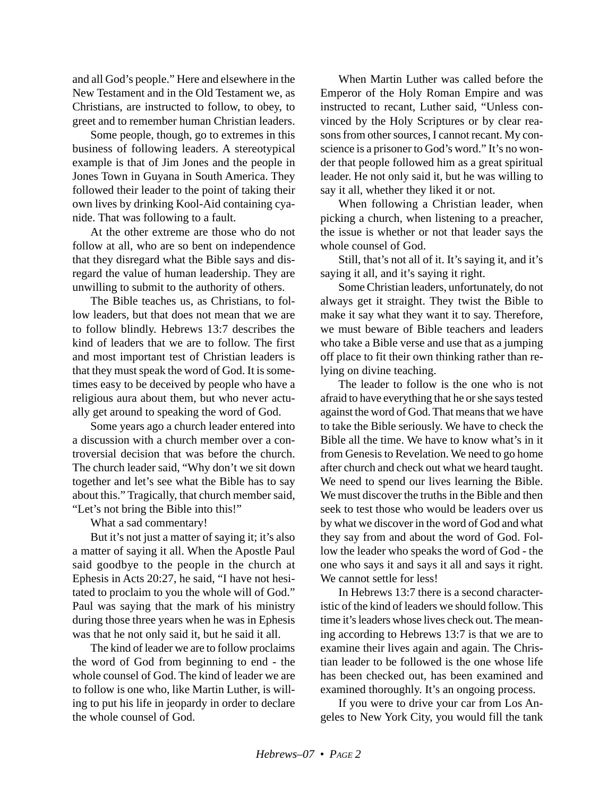and all God's people." Here and elsewhere in the New Testament and in the Old Testament we, as Christians, are instructed to follow, to obey, to greet and to remember human Christian leaders.

Some people, though, go to extremes in this business of following leaders. A stereotypical example is that of Jim Jones and the people in Jones Town in Guyana in South America. They followed their leader to the point of taking their own lives by drinking Kool-Aid containing cyanide. That was following to a fault.

At the other extreme are those who do not follow at all, who are so bent on independence that they disregard what the Bible says and disregard the value of human leadership. They are unwilling to submit to the authority of others.

The Bible teaches us, as Christians, to follow leaders, but that does not mean that we are to follow blindly. Hebrews 13:7 describes the kind of leaders that we are to follow. The first and most important test of Christian leaders is that they must speak the word of God. It is sometimes easy to be deceived by people who have a religious aura about them, but who never actually get around to speaking the word of God.

Some years ago a church leader entered into a discussion with a church member over a controversial decision that was before the church. The church leader said, "Why don't we sit down together and let's see what the Bible has to say about this." Tragically, that church member said, "Let's not bring the Bible into this!"

What a sad commentary!

But it's not just a matter of saying it; it's also a matter of saying it all. When the Apostle Paul said goodbye to the people in the church at Ephesis in Acts 20:27, he said, "I have not hesitated to proclaim to you the whole will of God." Paul was saying that the mark of his ministry during those three years when he was in Ephesis was that he not only said it, but he said it all.

The kind of leader we are to follow proclaims the word of God from beginning to end - the whole counsel of God. The kind of leader we are to follow is one who, like Martin Luther, is willing to put his life in jeopardy in order to declare the whole counsel of God.

When Martin Luther was called before the Emperor of the Holy Roman Empire and was instructed to recant, Luther said, "Unless convinced by the Holy Scriptures or by clear reasons from other sources, I cannot recant. My conscience is a prisoner to God's word." It's no wonder that people followed him as a great spiritual leader. He not only said it, but he was willing to say it all, whether they liked it or not.

When following a Christian leader, when picking a church, when listening to a preacher, the issue is whether or not that leader says the whole counsel of God.

Still, that's not all of it. It's saying it, and it's saying it all, and it's saying it right.

Some Christian leaders, unfortunately, do not always get it straight. They twist the Bible to make it say what they want it to say. Therefore, we must beware of Bible teachers and leaders who take a Bible verse and use that as a jumping off place to fit their own thinking rather than relying on divine teaching.

The leader to follow is the one who is not afraid to have everything that he or she says tested against the word of God. That means that we have to take the Bible seriously. We have to check the Bible all the time. We have to know what's in it from Genesis to Revelation. We need to go home after church and check out what we heard taught. We need to spend our lives learning the Bible. We must discover the truths in the Bible and then seek to test those who would be leaders over us by what we discover in the word of God and what they say from and about the word of God. Follow the leader who speaks the word of God - the one who says it and says it all and says it right. We cannot settle for less!

In Hebrews 13:7 there is a second characteristic of the kind of leaders we should follow. This time it's leaders whose lives check out. The meaning according to Hebrews 13:7 is that we are to examine their lives again and again. The Christian leader to be followed is the one whose life has been checked out, has been examined and examined thoroughly. It's an ongoing process.

If you were to drive your car from Los Angeles to New York City, you would fill the tank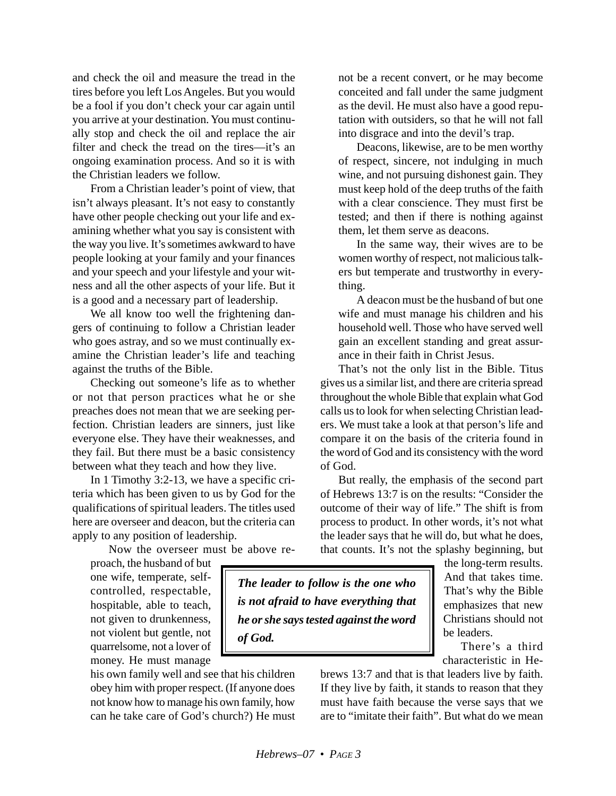and check the oil and measure the tread in the tires before you left Los Angeles. But you would be a fool if you don't check your car again until you arrive at your destination. You must continually stop and check the oil and replace the air filter and check the tread on the tires—it's an ongoing examination process. And so it is with the Christian leaders we follow.

From a Christian leader's point of view, that isn't always pleasant. It's not easy to constantly have other people checking out your life and examining whether what you say is consistent with the way you live. It's sometimes awkward to have people looking at your family and your finances and your speech and your lifestyle and your witness and all the other aspects of your life. But it is a good and a necessary part of leadership.

We all know too well the frightening dangers of continuing to follow a Christian leader who goes astray, and so we must continually examine the Christian leader's life and teaching against the truths of the Bible.

Checking out someone's life as to whether or not that person practices what he or she preaches does not mean that we are seeking perfection. Christian leaders are sinners, just like everyone else. They have their weaknesses, and they fail. But there must be a basic consistency between what they teach and how they live.

In 1 Timothy 3:2-13, we have a specific criteria which has been given to us by God for the qualifications of spiritual leaders. The titles used here are overseer and deacon, but the criteria can apply to any position of leadership.

Now the overseer must be above re-

proach, the husband of but one wife, temperate, selfcontrolled, respectable, hospitable, able to teach, not given to drunkenness, not violent but gentle, not quarrelsome, not a lover of money. He must manage

his own family well and see that his children obey him with proper respect. (If anyone does not know how to manage his own family, how can he take care of God's church?) He must not be a recent convert, or he may become conceited and fall under the same judgment as the devil. He must also have a good reputation with outsiders, so that he will not fall into disgrace and into the devil's trap.

Deacons, likewise, are to be men worthy of respect, sincere, not indulging in much wine, and not pursuing dishonest gain. They must keep hold of the deep truths of the faith with a clear conscience. They must first be tested; and then if there is nothing against them, let them serve as deacons.

In the same way, their wives are to be women worthy of respect, not malicious talkers but temperate and trustworthy in everything.

A deacon must be the husband of but one wife and must manage his children and his household well. Those who have served well gain an excellent standing and great assurance in their faith in Christ Jesus.

That's not the only list in the Bible. Titus gives us a similar list, and there are criteria spread throughout the whole Bible that explain what God calls us to look for when selecting Christian leaders. We must take a look at that person's life and compare it on the basis of the criteria found in the word of God and its consistency with the word of God.

But really, the emphasis of the second part of Hebrews 13:7 is on the results: "Consider the outcome of their way of life." The shift is from process to product. In other words, it's not what the leader says that he will do, but what he does, that counts. It's not the splashy beginning, but

*The leader to follow is the one who is not afraid to have everything that he or she says tested against the word of God.*

the long-term results. And that takes time. That's why the Bible emphasizes that new Christians should not be leaders.

There's a third characteristic in He-

brews 13:7 and that is that leaders live by faith. If they live by faith, it stands to reason that they must have faith because the verse says that we are to "imitate their faith". But what do we mean